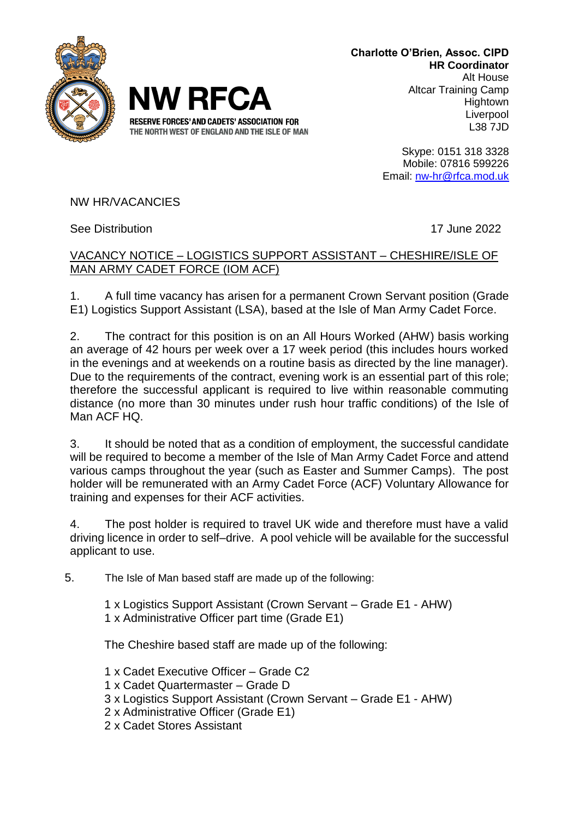



**Charlotte O'Brien, Assoc. CIPD HR Coordinator** Alt House Altcar Training Camp **Hightown Liverpool** L38 7JD

> Skype: 0151 318 3328 Mobile: 07816 599226 Email: [nw-hr@rfca.mod.uk](mailto:nw-hr@rfca.mod.uk)

NW HR/VACANCIES

See Distribution 17 June 2022

## VACANCY NOTICE – LOGISTICS SUPPORT ASSISTANT – CHESHIRE/ISLE OF MAN ARMY CADET FORCE (IOM ACF)

1. A full time vacancy has arisen for a permanent Crown Servant position (Grade E1) Logistics Support Assistant (LSA), based at the Isle of Man Army Cadet Force.

2. The contract for this position is on an All Hours Worked (AHW) basis working an average of 42 hours per week over a 17 week period (this includes hours worked in the evenings and at weekends on a routine basis as directed by the line manager). Due to the requirements of the contract, evening work is an essential part of this role; therefore the successful applicant is required to live within reasonable commuting distance (no more than 30 minutes under rush hour traffic conditions) of the Isle of Man ACF HQ.

3. It should be noted that as a condition of employment, the successful candidate will be required to become a member of the Isle of Man Army Cadet Force and attend various camps throughout the year (such as Easter and Summer Camps). The post holder will be remunerated with an Army Cadet Force (ACF) Voluntary Allowance for training and expenses for their ACF activities.

4. The post holder is required to travel UK wide and therefore must have a valid driving licence in order to self–drive. A pool vehicle will be available for the successful applicant to use.

5. The Isle of Man based staff are made up of the following:

1 x Logistics Support Assistant (Crown Servant – Grade E1 - AHW)

1 x Administrative Officer part time (Grade E1)

The Cheshire based staff are made up of the following:

- 1 x Cadet Executive Officer Grade C2
- 1 x Cadet Quartermaster Grade D
- 3 x Logistics Support Assistant (Crown Servant Grade E1 AHW)
- 2 x Administrative Officer (Grade E1)
- 2 x Cadet Stores Assistant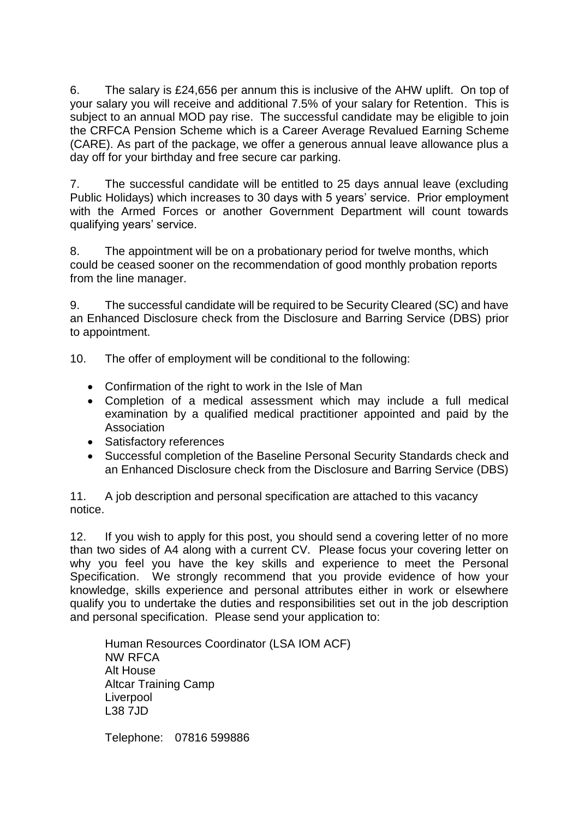6. The salary is £24,656 per annum this is inclusive of the AHW uplift. On top of your salary you will receive and additional 7.5% of your salary for Retention. This is subject to an annual MOD pay rise. The successful candidate may be eligible to join the CRFCA Pension Scheme which is a Career Average Revalued Earning Scheme (CARE). As part of the package, we offer a generous annual leave allowance plus a day off for your birthday and free secure car parking.

7. The successful candidate will be entitled to 25 days annual leave (excluding Public Holidays) which increases to 30 days with 5 years' service. Prior employment with the Armed Forces or another Government Department will count towards qualifying years' service.

8. The appointment will be on a probationary period for twelve months, which could be ceased sooner on the recommendation of good monthly probation reports from the line manager.

9. The successful candidate will be required to be Security Cleared (SC) and have an Enhanced Disclosure check from the Disclosure and Barring Service (DBS) prior to appointment.

10. The offer of employment will be conditional to the following:

- Confirmation of the right to work in the Isle of Man
- Completion of a medical assessment which may include a full medical examination by a qualified medical practitioner appointed and paid by the Association
- Satisfactory references
- Successful completion of the Baseline Personal Security Standards check and an Enhanced Disclosure check from the Disclosure and Barring Service (DBS)

11. A job description and personal specification are attached to this vacancy notice.

12. If you wish to apply for this post, you should send a covering letter of no more than two sides of A4 along with a current CV. Please focus your covering letter on why you feel you have the key skills and experience to meet the Personal Specification. We strongly recommend that you provide evidence of how your knowledge, skills experience and personal attributes either in work or elsewhere qualify you to undertake the duties and responsibilities set out in the job description and personal specification. Please send your application to:

Human Resources Coordinator (LSA IOM ACF) NW RFCA Alt House Altcar Training Camp Liverpool L38 7JD

Telephone: 07816 599886